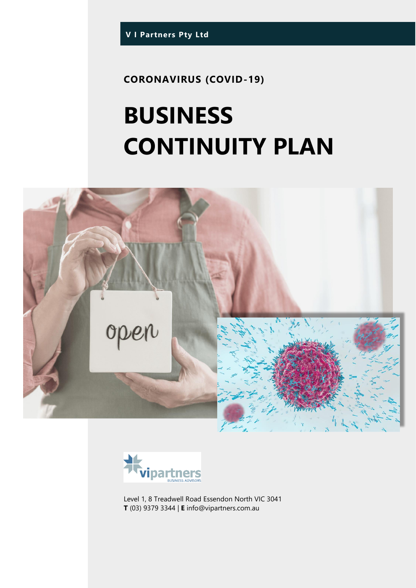**CORONAVIRUS (COVID-19)**

# **BUSINESS CONTINUITY PLAN**





Level 1, 8 Treadwell Road Essendon North VIC 3041 **T** (03) 9379 3344 | **E** info@vipartners.com.au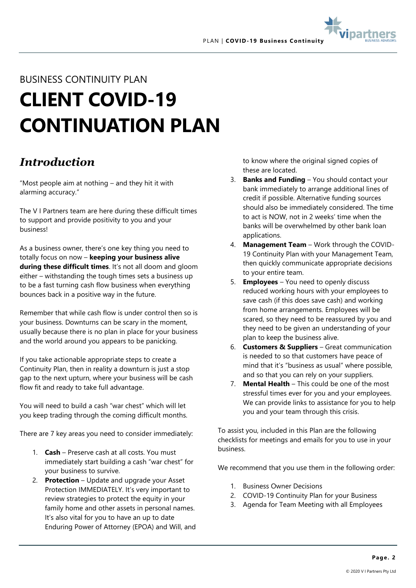



## BUSINESS CONTINUITY PLAN **CLIENT COVID-19 CONTINUATION PLAN**

## *Introduction*

"Most people aim at nothing – and they hit it with alarming accuracy."

The V I Partners team are here during these difficult times to support and provide positivity to you and your business!

As a business owner, there's one key thing you need to totally focus on now – **keeping your business alive during these difficult times**. It's not all doom and gloom either – withstanding the tough times sets a business up to be a fast turning cash flow business when everything bounces back in a positive way in the future.

Remember that while cash flow is under control then so is your business. Downturns can be scary in the moment, usually because there is no plan in place for your business and the world around you appears to be panicking.

If you take actionable appropriate steps to create a Continuity Plan, then in reality a downturn is just a stop gap to the next upturn, where your business will be cash flow fit and ready to take full advantage.

You will need to build a cash "war chest" which will let you keep trading through the coming difficult months.

There are 7 key areas you need to consider immediately:

- 1. **Cash** Preserve cash at all costs. You must immediately start building a cash "war chest" for your business to survive.
- 2. **Protection** Update and upgrade your Asset Protection IMMEDIATELY. It's very important to review strategies to protect the equity in your family home and other assets in personal names. It's also vital for you to have an up to date Enduring Power of Attorney (EPOA) and Will, and

to know where the original signed copies of these are located.

- 3. **Banks and Funding** You should contact your bank immediately to arrange additional lines of credit if possible. Alternative funding sources should also be immediately considered. The time to act is NOW, not in 2 weeks' time when the banks will be overwhelmed by other bank loan applications.
- 4. **Management Team** Work through the COVID-19 Continuity Plan with your Management Team, then quickly communicate appropriate decisions to your entire team.
- 5. **Employees** You need to openly discuss reduced working hours with your employees to save cash (if this does save cash) and working from home arrangements. Employees will be scared, so they need to be reassured by you and they need to be given an understanding of your plan to keep the business alive.
- 6. **Customers & Suppliers** Great communication is needed to so that customers have peace of mind that it's "business as usual" where possible, and so that you can rely on your suppliers.
- 7. **Mental Health** This could be one of the most stressful times ever for you and your employees. We can provide links to assistance for you to help you and your team through this crisis.

To assist you, included in this Plan are the following checklists for meetings and emails for you to use in your business.

We recommend that you use them in the following order:

- 1. Business Owner Decisions
- 2. COVID-19 Continuity Plan for your Business
- 3. Agenda for Team Meeting with all Employees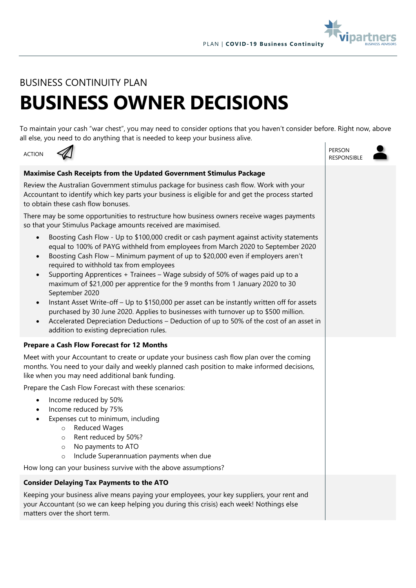

#### BUSINESS CONTINUITY PLAN

## **BUSINESS OWNER DECISIONS**

To maintain your cash "war chest", you may need to consider options that you haven't consider before. Right now, above all else, you need to do anything that is needed to keep your business alive.

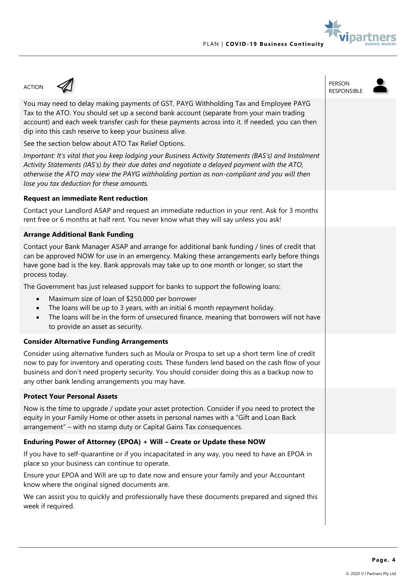

#### ACTION A PERSON PERSON PERSON RESPONSIBLE You may need to delay making payments of GST, PAYG Withholding Tax and Employee PAYG Tax to the ATO. You should set up a second bank account (separate from your main trading account) and each week transfer cash for these payments across into it. If needed, you can then dip into this cash reserve to keep your business alive. See the section below about ATO Tax Relief Options. *Important: It's vital that you keep lodging your Business Activity Statements (BAS's) and Instalment Activity Statements (IAS's) by their due dates and negotiate a delayed payment with the ATO, otherwise the ATO may view the PAYG withholding portion as non-compliant and you will then lose you tax deduction for these amounts.* **Request an immediate Rent reduction** Contact your Landlord ASAP and request an immediate reduction in your rent. Ask for 3 months rent free or 6 months at half rent. You never know what they will say unless you ask! **Arrange Additional Bank Funding** Contact your Bank Manager ASAP and arrange for additional bank funding / lines of credit that can be approved NOW for use in an emergency. Making these arrangements early before things have gone bad is the key. Bank approvals may take up to one month or longer, so start the process today. The Government has just released support for banks to support the following loans: • Maximum size of loan of \$250,000 per borrower The loans will be up to 3 years, with an initial 6 month repayment holiday. • The loans will be in the form of unsecured finance, meaning that borrowers will not have to provide an asset as security. **Consider Alternative Funding Arrangements** Consider using alternative funders such as Moula or Prospa to set up a short term line of credit now to pay for inventory and operating costs. These funders lend based on the cash flow of your business and don't need property security. You should consider doing this as a backup now to any other bank lending arrangements you may have. **Protect Your Personal Assets** Now is the time to upgrade / update your asset protection. Consider if you need to protect the equity in your Family Home or other assets in personal names with a "Gift and Loan Back arrangement" – with no stamp duty or Capital Gains Tax consequences. **Enduring Power of Attorney (EPOA) + Will – Create or Update these NOW** If you have to self-quarantine or if you incapacitated in any way, you need to have an EPOA in place so your business can continue to operate. Ensure your EPOA and Will are up to date now and ensure your family and your Accountant know where the original signed documents are. We can assist you to quickly and professionally have these documents prepared and signed this week if required.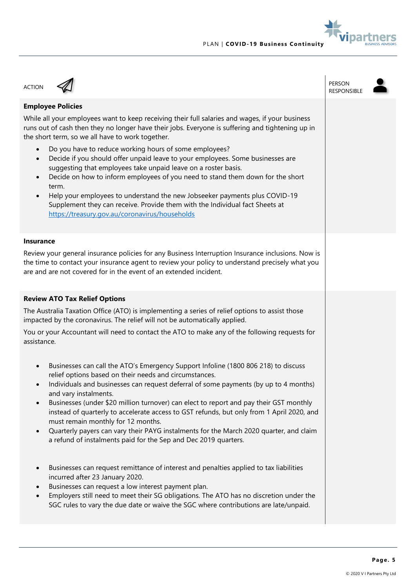



| <b>ACTION</b>                                                                                                                                                                                                                                                                                                                                                                                                                                                                                                                                                                                                                                                                                                                                                                                                                                                                                                                                                                                                                                                                                  | PERSON<br><b>RESPONSIBLE</b> |  |
|------------------------------------------------------------------------------------------------------------------------------------------------------------------------------------------------------------------------------------------------------------------------------------------------------------------------------------------------------------------------------------------------------------------------------------------------------------------------------------------------------------------------------------------------------------------------------------------------------------------------------------------------------------------------------------------------------------------------------------------------------------------------------------------------------------------------------------------------------------------------------------------------------------------------------------------------------------------------------------------------------------------------------------------------------------------------------------------------|------------------------------|--|
| <b>Employee Policies</b><br>While all your employees want to keep receiving their full salaries and wages, if your business<br>runs out of cash then they no longer have their jobs. Everyone is suffering and tightening up in<br>the short term, so we all have to work together.<br>Do you have to reduce working hours of some employees?<br>Decide if you should offer unpaid leave to your employees. Some businesses are<br>$\bullet$<br>suggesting that employees take unpaid leave on a roster basis.<br>Decide on how to inform employees of you need to stand them down for the short<br>$\bullet$<br>term.<br>Help your employees to understand the new Jobseeker payments plus COVID-19<br>Supplement they can receive. Provide them with the Individual fact Sheets at<br>https://treasury.gov.au/coronavirus/households                                                                                                                                                                                                                                                         |                              |  |
| <b>Insurance</b><br>Review your general insurance policies for any Business Interruption Insurance inclusions. Now is<br>the time to contact your insurance agent to review your policy to understand precisely what you<br>are and are not covered for in the event of an extended incident.                                                                                                                                                                                                                                                                                                                                                                                                                                                                                                                                                                                                                                                                                                                                                                                                  |                              |  |
| <b>Review ATO Tax Relief Options</b><br>The Australia Taxation Office (ATO) is implementing a series of relief options to assist those<br>impacted by the coronavirus. The relief will not be automatically applied.<br>You or your Accountant will need to contact the ATO to make any of the following requests for<br>assistance.                                                                                                                                                                                                                                                                                                                                                                                                                                                                                                                                                                                                                                                                                                                                                           |                              |  |
| Businesses can call the ATO's Emergency Support Infoline (1800 806 218) to discuss<br>$\bullet$<br>relief options based on their needs and circumstances.<br>Individuals and businesses can request deferral of some payments (by up to 4 months)<br>$\bullet$<br>and vary instalments.<br>Businesses (under \$20 million turnover) can elect to report and pay their GST monthly<br>instead of quarterly to accelerate access to GST refunds, but only from 1 April 2020, and<br>must remain monthly for 12 months.<br>Quarterly payers can vary their PAYG instalments for the March 2020 quarter, and claim<br>$\bullet$<br>a refund of instalments paid for the Sep and Dec 2019 quarters.<br>Businesses can request remittance of interest and penalties applied to tax liabilities<br>$\bullet$<br>incurred after 23 January 2020.<br>Businesses can request a low interest payment plan.<br>Employers still need to meet their SG obligations. The ATO has no discretion under the<br>$\bullet$<br>SGC rules to vary the due date or waive the SGC where contributions are late/unpaid. |                              |  |
|                                                                                                                                                                                                                                                                                                                                                                                                                                                                                                                                                                                                                                                                                                                                                                                                                                                                                                                                                                                                                                                                                                |                              |  |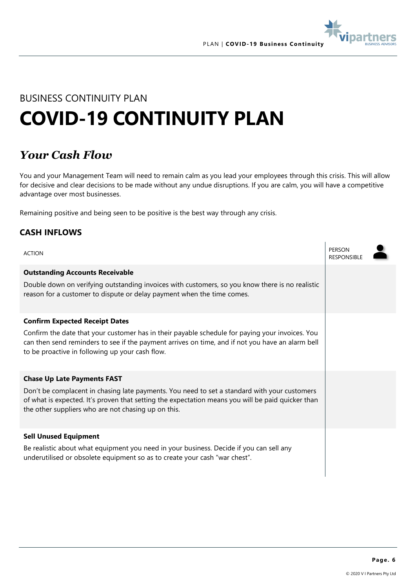

## BUSINESS CONTINUITY PLAN **COVID-19 CONTINUITY PLAN**

### *Your Cash Flow*

You and your Management Team will need to remain calm as you lead your employees through this crisis. This will allow for decisive and clear decisions to be made without any undue disruptions. If you are calm, you will have a competitive advantage over most businesses.

Remaining positive and being seen to be positive is the best way through any crisis.

#### **CASH INFLOWS**

| <b>ACTION</b>                                                                                                                                                                                                                                            | PERSON<br><b>RESPONSIBLE</b> |  |
|----------------------------------------------------------------------------------------------------------------------------------------------------------------------------------------------------------------------------------------------------------|------------------------------|--|
| <b>Outstanding Accounts Receivable</b>                                                                                                                                                                                                                   |                              |  |
| Double down on verifying outstanding invoices with customers, so you know there is no realistic<br>reason for a customer to dispute or delay payment when the time comes.                                                                                |                              |  |
| <b>Confirm Expected Receipt Dates</b>                                                                                                                                                                                                                    |                              |  |
| Confirm the date that your customer has in their payable schedule for paying your invoices. You<br>can then send reminders to see if the payment arrives on time, and if not you have an alarm bell<br>to be proactive in following up your cash flow.   |                              |  |
| <b>Chase Up Late Payments FAST</b>                                                                                                                                                                                                                       |                              |  |
| Don't be complacent in chasing late payments. You need to set a standard with your customers<br>of what is expected. It's proven that setting the expectation means you will be paid quicker than<br>the other suppliers who are not chasing up on this. |                              |  |
| <b>Sell Unused Equipment</b>                                                                                                                                                                                                                             |                              |  |
| Be realistic about what equipment you need in your business. Decide if you can sell any<br>underutilised or obsolete equipment so as to create your cash "war chest".                                                                                    |                              |  |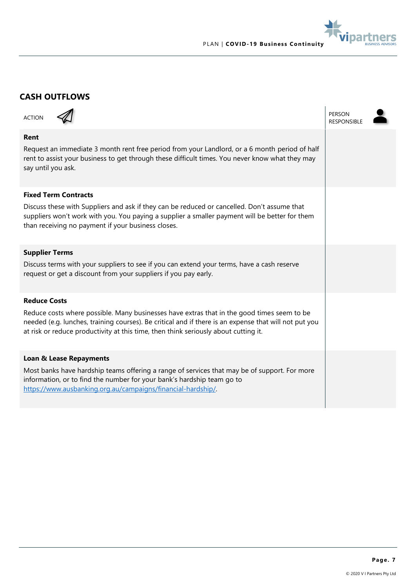

#### **CASH OUTFLOWS**

| <b>ACTION</b>                                                                                                                                                                                                                                                                              | PERSON<br><b>RESPONSIBLE</b> |  |
|--------------------------------------------------------------------------------------------------------------------------------------------------------------------------------------------------------------------------------------------------------------------------------------------|------------------------------|--|
| Rent<br>Request an immediate 3 month rent free period from your Landlord, or a 6 month period of half<br>rent to assist your business to get through these difficult times. You never know what they may<br>say until you ask.                                                             |                              |  |
| <b>Fixed Term Contracts</b>                                                                                                                                                                                                                                                                |                              |  |
| Discuss these with Suppliers and ask if they can be reduced or cancelled. Don't assume that<br>suppliers won't work with you. You paying a supplier a smaller payment will be better for them<br>than receiving no payment if your business closes.                                        |                              |  |
| <b>Supplier Terms</b>                                                                                                                                                                                                                                                                      |                              |  |
| Discuss terms with your suppliers to see if you can extend your terms, have a cash reserve<br>request or get a discount from your suppliers if you pay early.                                                                                                                              |                              |  |
| <b>Reduce Costs</b>                                                                                                                                                                                                                                                                        |                              |  |
| Reduce costs where possible. Many businesses have extras that in the good times seem to be<br>needed (e.g. lunches, training courses). Be critical and if there is an expense that will not put you<br>at risk or reduce productivity at this time, then think seriously about cutting it. |                              |  |
| <b>Loan &amp; Lease Repayments</b>                                                                                                                                                                                                                                                         |                              |  |
| Most banks have hardship teams offering a range of services that may be of support. For more<br>information, or to find the number for your bank's hardship team go to<br>https://www.ausbanking.org.au/campaigns/financial-hardship/.                                                     |                              |  |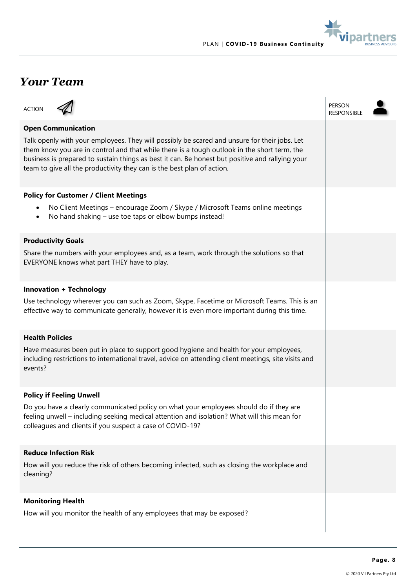

### *Your Team*

| <b>ACTION</b>                                                                                                                                                                                                                                                                                                                                                            | PERSON<br><b>RESPONSIBLE</b> |
|--------------------------------------------------------------------------------------------------------------------------------------------------------------------------------------------------------------------------------------------------------------------------------------------------------------------------------------------------------------------------|------------------------------|
| <b>Open Communication</b>                                                                                                                                                                                                                                                                                                                                                |                              |
| Talk openly with your employees. They will possibly be scared and unsure for their jobs. Let<br>them know you are in control and that while there is a tough outlook in the short term, the<br>business is prepared to sustain things as best it can. Be honest but positive and rallying your<br>team to give all the productivity they can is the best plan of action. |                              |
| <b>Policy for Customer / Client Meetings</b>                                                                                                                                                                                                                                                                                                                             |                              |
| No Client Meetings – encourage Zoom / Skype / Microsoft Teams online meetings<br>$\bullet$<br>No hand shaking – use toe taps or elbow bumps instead!<br>$\bullet$                                                                                                                                                                                                        |                              |
| <b>Productivity Goals</b>                                                                                                                                                                                                                                                                                                                                                |                              |
| Share the numbers with your employees and, as a team, work through the solutions so that<br>EVERYONE knows what part THEY have to play.                                                                                                                                                                                                                                  |                              |
| <b>Innovation + Technology</b>                                                                                                                                                                                                                                                                                                                                           |                              |
| Use technology wherever you can such as Zoom, Skype, Facetime or Microsoft Teams. This is an<br>effective way to communicate generally, however it is even more important during this time.                                                                                                                                                                              |                              |
| <b>Health Policies</b>                                                                                                                                                                                                                                                                                                                                                   |                              |
| Have measures been put in place to support good hygiene and health for your employees,<br>including restrictions to international travel, advice on attending client meetings, site visits and<br>events?                                                                                                                                                                |                              |
| <b>Policy if Feeling Unwell</b>                                                                                                                                                                                                                                                                                                                                          |                              |
| Do you have a clearly communicated policy on what your employees should do if they are<br>feeling unwell - including seeking medical attention and isolation? What will this mean for<br>colleagues and clients if you suspect a case of COVID-19?                                                                                                                       |                              |
| <b>Reduce Infection Risk</b>                                                                                                                                                                                                                                                                                                                                             |                              |
| How will you reduce the risk of others becoming infected, such as closing the workplace and<br>cleaning?                                                                                                                                                                                                                                                                 |                              |
| <b>Monitoring Health</b>                                                                                                                                                                                                                                                                                                                                                 |                              |
| How will you monitor the health of any employees that may be exposed?                                                                                                                                                                                                                                                                                                    |                              |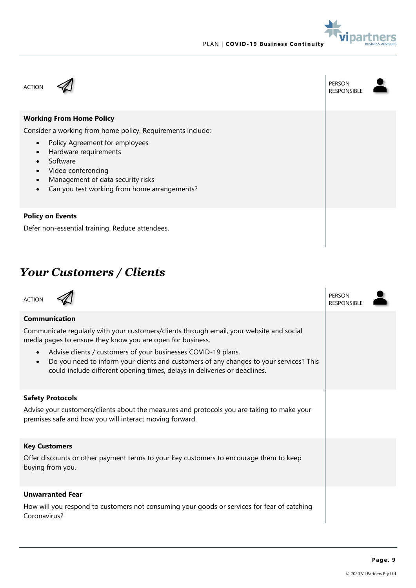





## *Your Customers / Clients*

| <b>ACTION</b>                                                                                                                                                                                                                                                                                                                                                                                                                | PERSON<br><b>RESPONSIBLE</b> |  |
|------------------------------------------------------------------------------------------------------------------------------------------------------------------------------------------------------------------------------------------------------------------------------------------------------------------------------------------------------------------------------------------------------------------------------|------------------------------|--|
| Communication<br>Communicate regularly with your customers/clients through email, your website and social<br>media pages to ensure they know you are open for business.<br>Advise clients / customers of your businesses COVID-19 plans.<br>$\bullet$<br>Do you need to inform your clients and customers of any changes to your services? This<br>could include different opening times, delays in deliveries or deadlines. |                              |  |
| <b>Safety Protocols</b><br>Advise your customers/clients about the measures and protocols you are taking to make your<br>premises safe and how you will interact moving forward.                                                                                                                                                                                                                                             |                              |  |
| <b>Key Customers</b><br>Offer discounts or other payment terms to your key customers to encourage them to keep<br>buying from you.                                                                                                                                                                                                                                                                                           |                              |  |
| <b>Unwarranted Fear</b><br>How will you respond to customers not consuming your goods or services for fear of catching<br>Coronavirus?                                                                                                                                                                                                                                                                                       |                              |  |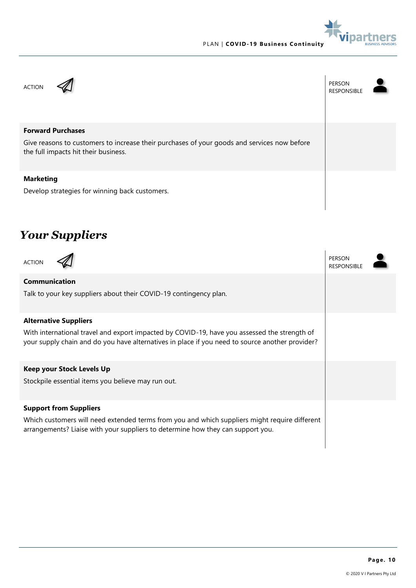

ACTION A PERSON PERSON PERSON RESPONSIBLE **Forward Purchases** Give reasons to customers to increase their purchases of your goods and services now before the full impacts hit their business. **Marketing** Develop strategies for winning back customers.

## *Your Suppliers*

| <b>ACTION</b>                                                                                                                                                                                   | <b>PERSON</b><br><b>RESPONSIBLE</b> |  |  |
|-------------------------------------------------------------------------------------------------------------------------------------------------------------------------------------------------|-------------------------------------|--|--|
| <b>Communication</b>                                                                                                                                                                            |                                     |  |  |
| Talk to your key suppliers about their COVID-19 contingency plan.                                                                                                                               |                                     |  |  |
| <b>Alternative Suppliers</b>                                                                                                                                                                    |                                     |  |  |
| With international travel and export impacted by COVID-19, have you assessed the strength of<br>your supply chain and do you have alternatives in place if you need to source another provider? |                                     |  |  |
| <b>Keep your Stock Levels Up</b>                                                                                                                                                                |                                     |  |  |
| Stockpile essential items you believe may run out.                                                                                                                                              |                                     |  |  |
| <b>Support from Suppliers</b>                                                                                                                                                                   |                                     |  |  |
| Which customers will need extended terms from you and which suppliers might require different<br>arrangements? Liaise with your suppliers to determine how they can support you.                |                                     |  |  |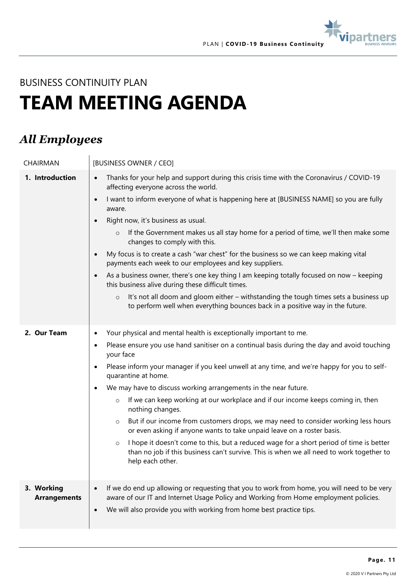

BUSINESS CONTINUITY PLAN

## **TEAM MEETING AGENDA**

### *All Employees*

| CHAIRMAN                          | [BUSINESS OWNER / CEO]                                                                                                                                                                                                                                                                                                                                                                                                                                                                                                                                                                                                                                                                                                                                                                                                                                                                                                                                    |
|-----------------------------------|-----------------------------------------------------------------------------------------------------------------------------------------------------------------------------------------------------------------------------------------------------------------------------------------------------------------------------------------------------------------------------------------------------------------------------------------------------------------------------------------------------------------------------------------------------------------------------------------------------------------------------------------------------------------------------------------------------------------------------------------------------------------------------------------------------------------------------------------------------------------------------------------------------------------------------------------------------------|
| 1. Introduction                   | Thanks for your help and support during this crisis time with the Coronavirus / COVID-19<br>$\bullet$<br>affecting everyone across the world.<br>I want to inform everyone of what is happening here at [BUSINESS NAME] so you are fully<br>$\bullet$<br>aware.<br>Right now, it's business as usual.<br>$\bullet$<br>If the Government makes us all stay home for a period of time, we'll then make some<br>$\circ$<br>changes to comply with this.<br>My focus is to create a cash "war chest" for the business so we can keep making vital<br>$\bullet$<br>payments each week to our employees and key suppliers.<br>As a business owner, there's one key thing I am keeping totally focused on now - keeping<br>this business alive during these difficult times.<br>It's not all doom and gloom either - withstanding the tough times sets a business up<br>$\circ$<br>to perform well when everything bounces back in a positive way in the future. |
| 2. Our Team                       | Your physical and mental health is exceptionally important to me.<br>$\bullet$<br>Please ensure you use hand sanitiser on a continual basis during the day and avoid touching<br>٠<br>your face<br>Please inform your manager if you keel unwell at any time, and we're happy for you to self-<br>quarantine at home.<br>We may have to discuss working arrangements in the near future.<br>٠<br>If we can keep working at our workplace and if our income keeps coming in, then<br>$\circ$<br>nothing changes.<br>But if our income from customers drops, we may need to consider working less hours<br>$\circ$<br>or even asking if anyone wants to take unpaid leave on a roster basis.<br>I hope it doesn't come to this, but a reduced wage for a short period of time is better<br>$\circ$<br>than no job if this business can't survive. This is when we all need to work together to<br>help each other.                                          |
| 3. Working<br><b>Arrangements</b> | If we do end up allowing or requesting that you to work from home, you will need to be very<br>aware of our IT and Internet Usage Policy and Working from Home employment policies.<br>We will also provide you with working from home best practice tips.<br>$\bullet$                                                                                                                                                                                                                                                                                                                                                                                                                                                                                                                                                                                                                                                                                   |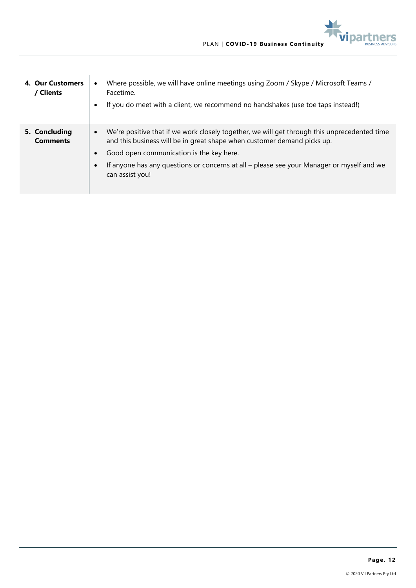

| 4. Our Customers<br>/ Clients    | Where possible, we will have online meetings using Zoom / Skype / Microsoft Teams /<br>Facetime.<br>If you do meet with a client, we recommend no handshakes (use toe taps instead!)                                                                                                                                                             |
|----------------------------------|--------------------------------------------------------------------------------------------------------------------------------------------------------------------------------------------------------------------------------------------------------------------------------------------------------------------------------------------------|
| 5. Concluding<br><b>Comments</b> | We're positive that if we work closely together, we will get through this unprecedented time<br>$\bullet$<br>and this business will be in great shape when customer demand picks up.<br>Good open communication is the key here.<br>If anyone has any questions or concerns at all – please see your Manager or myself and we<br>can assist you! |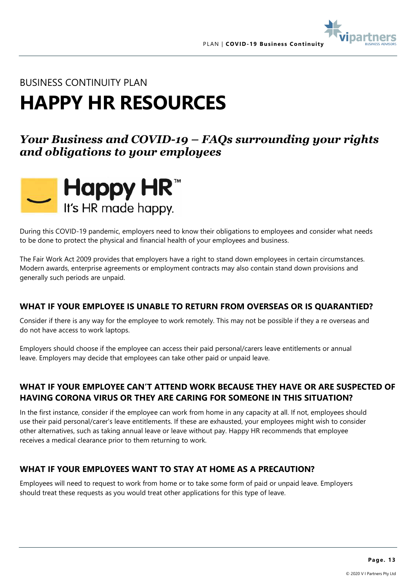

#### BUSINESS CONTINUITY PLAN

## **HAPPY HR RESOURCES**

### *Your Business and COVID-19 – FAQs surrounding your rights and obligations to your employees*



During this COVID-19 pandemic, employers need to know their obligations to employees and consider what needs to be done to protect the physical and financial health of your employees and business.

The Fair Work Act 2009 provides that employers have a right to stand down employees in certain circumstances. Modern awards, enterprise agreements or employment contracts may also contain stand down provisions and generally such periods are unpaid.

#### **WHAT IF YOUR EMPLOYEE IS UNABLE TO RETURN FROM OVERSEAS OR IS QUARANTIED?**

Consider if there is any way for the employee to work remotely. This may not be possible if they a re overseas and do not have access to work laptops.

Employers should choose if the employee can access their paid personal/carers leave entitlements or annual leave. Employers may decide that employees can take other paid or unpaid leave.

#### **WHAT IF YOUR EMPLOYEE CAN'T ATTEND WORK BECAUSE THEY HAVE OR ARE SUSPECTED OF HAVING CORONA VIRUS OR THEY ARE CARING FOR SOMEONE IN THIS SITUATION?**

In the first instance, consider if the employee can work from home in any capacity at all. If not, employees should use their paid personal/carer's leave entitlements. If these are exhausted, your employees might wish to consider other alternatives, such as taking annual leave or leave without pay. Happy HR recommends that employee receives a medical clearance prior to them returning to work.

#### **WHAT IF YOUR EMPLOYEES WANT TO STAY AT HOME AS A PRECAUTION?**

Employees will need to request to work from home or to take some form of paid or unpaid leave. Employers should treat these requests as you would treat other applications for this type of leave.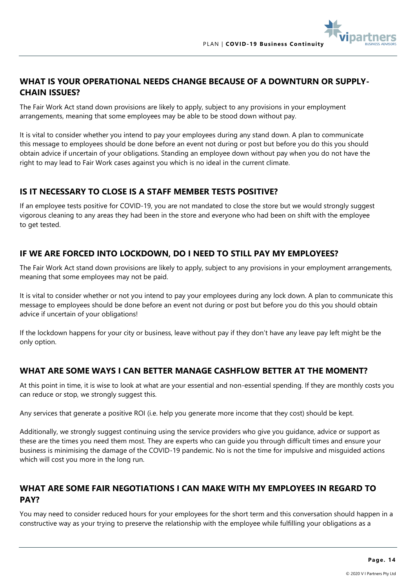

#### WHAT IS YOUR OPERATIONAL NEEDS CHANGE BECAUSE OF A DOWNTURN OR SUPPLY-**CHAIN ISSUES?**

The Fair Work Act stand down provisions are likely to apply, subject to any provisions in your employment arrangements, meaning that some employees may be able to be stood down without pay.

It is vital to consider whether you intend to pay your employees during any stand down. A plan to communicate this message to employees should be done before an event not during or post but before you do this you should obtain advice if uncertain of your obligations. Standing an employee down without pay when you do not have the right to may lead to Fair Work cases against you which is no ideal in the current climate.

#### **IS IT NECESSARY TO CLOSE IS A STAFF MEMBER TESTS POSITIVE?**

If an employee tests positive for COVID-19, you are not mandated to close the store but we would strongly suggest vigorous cleaning to any areas they had been in the store and everyone who had been on shift with the employee to get tested.

#### **IF WE ARE FORCED INTO LOCKDOWN, DO I NEED TO STILL PAY MY EMPLOYEES?**

The Fair Work Act stand down provisions are likely to apply, subject to any provisions in your employment arrangements, meaning that some employees may not be paid.

It is vital to consider whether or not you intend to pay your employees during any lock down. A plan to communicate this message to employees should be done before an event not during or post but before you do this you should obtain advice if uncertain of your obligations!

If the lockdown happens for your city or business, leave without pay if they don't have any leave pay left might be the only option.

#### **WHAT ARE SOME WAYS I CAN BETTER MANAGE CASHFLOW BETTER AT THE MOMENT?**

At this point in time, it is wise to look at what are your essential and non-essential spending. If they are monthly costs you can reduce or stop, we strongly suggest this.

Any services that generate a positive ROI (i.e. help you generate more income that they cost) should be kept.

Additionally, we strongly suggest continuing using the service providers who give you guidance, advice or support as these are the times you need them most. They are experts who can guide you through difficult times and ensure your business is minimising the damage of the COVID-19 pandemic. No is not the time for impulsive and misguided actions which will cost you more in the long run.

#### **WHAT ARE SOME FAIR NEGOTIATIONS I CAN MAKE WITH MY EMPLOYEES IN REGARD TO PAY?**

You may need to consider reduced hours for your employees for the short term and this conversation should happen in a constructive way as your trying to preserve the relationship with the employee while fulfilling your obligations as a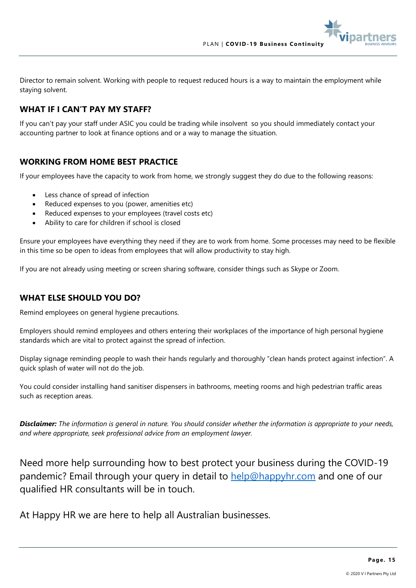Director to remain solvent. Working with people to request reduced hours is a way to maintain the employment while staying solvent.

#### **WHAT IF I CAN'T PAY MY STAFF?**

If you can't pay your staff under ASIC you could be trading while insolvent so you should immediately contact your accounting partner to look at finance options and or a way to manage the situation.

#### **WORKING FROM HOME BEST PRACTICE**

If your employees have the capacity to work from home, we strongly suggest they do due to the following reasons:

- Less chance of spread of infection
- Reduced expenses to you (power, amenities etc)
- Reduced expenses to your employees (travel costs etc)
- Ability to care for children if school is closed

Ensure your employees have everything they need if they are to work from home. Some processes may need to be flexible in this time so be open to ideas from employees that will allow productivity to stay high.

If you are not already using meeting or screen sharing software, consider things such as Skype or Zoom.

#### **WHAT ELSE SHOULD YOU DO?**

Remind employees on general hygiene precautions.

Employers should remind employees and others entering their workplaces of the importance of high personal hygiene standards which are vital to protect against the spread of infection.

Display signage reminding people to wash their hands regularly and thoroughly "clean hands protect against infection". A quick splash of water will not do the job.

You could consider installing hand sanitiser dispensers in bathrooms, meeting rooms and high pedestrian traffic areas such as reception areas.

*Disclaimer: The information is general in nature. You should consider whether the information is appropriate to your needs, and where appropriate, seek professional advice from an employment lawyer.* 

Need more help surrounding how to best protect your business during the COVID-19 pandemic? Email through your query in detail to [help@happyhr.com](mailto:help@happyhr.com) and one of our qualified HR consultants will be in touch.

At Happy HR we are here to help all Australian businesses.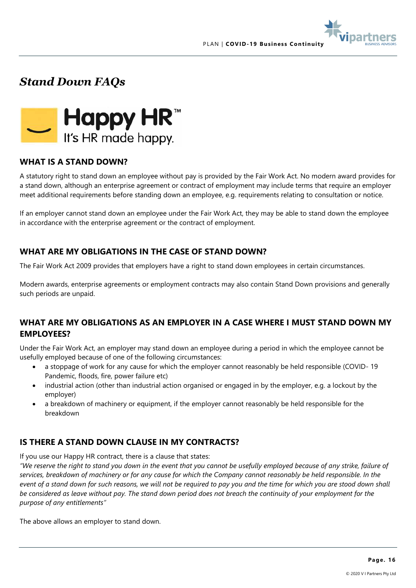

*Stand Down FAQs*



#### **WHAT IS A STAND DOWN?**

A statutory right to stand down an employee without pay is provided by the Fair Work Act. No modern award provides for a stand down, although an enterprise agreement or contract of employment may include terms that require an employer meet additional requirements before standing down an employee, e.g. requirements relating to consultation or notice.

If an employer cannot stand down an employee under the Fair Work Act, they may be able to stand down the employee in accordance with the enterprise agreement or the contract of employment.

#### **WHAT ARE MY OBLIGATIONS IN THE CASE OF STAND DOWN?**

The Fair Work Act 2009 provides that employers have a right to stand down employees in certain circumstances.

Modern awards, enterprise agreements or employment contracts may also contain Stand Down provisions and generally such periods are unpaid.

#### **WHAT ARE MY OBLIGATIONS AS AN EMPLOYER IN A CASE WHERE I MUST STAND DOWN MY EMPLOYEES?**

Under the Fair Work Act, an employer may stand down an employee during a period in which the employee cannot be usefully employed because of one of the following circumstances:

- a stoppage of work for any cause for which the employer cannot reasonably be held responsible (COVID- 19 Pandemic, floods, fire, power failure etc)
- industrial action (other than industrial action organised or engaged in by the employer, e.g. a lockout by the employer)
- a breakdown of machinery or equipment, if the employer cannot reasonably be held responsible for the breakdown

#### **IS THERE A STAND DOWN CLAUSE IN MY CONTRACTS?**

If you use our Happy HR contract, there is a clause that states:

*"We reserve the right to stand you down in the event that you cannot be usefully employed because of any strike, failure of services, breakdown of machinery or for any cause for which the Company cannot reasonably be held responsible. In the event of a stand down for such reasons, we will not be required to pay you and the time for which you are stood down shall be considered as leave without pay. The stand down period does not breach the continuity of your employment for the purpose of any entitlements"*

The above allows an employer to stand down.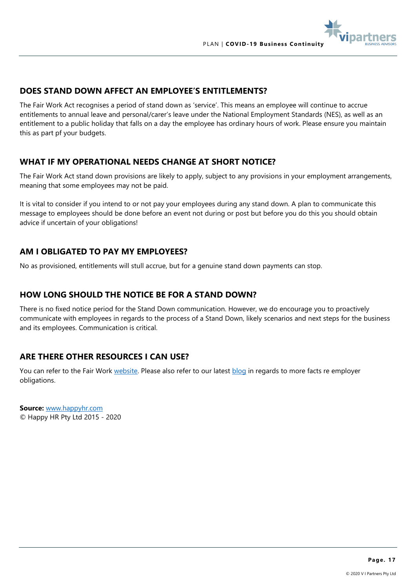

#### **DOES STAND DOWN AFFECT AN EMPLOYEE'S ENTITLEMENTS?**

The Fair Work Act recognises a period of stand down as 'service'. This means an employee will continue to accrue entitlements to annual leave and personal/carer's leave under the National Employment Standards (NES), as well as an entitlement to a public holiday that falls on a day the employee has ordinary hours of work. Please ensure you maintain this as part pf your budgets.

#### **WHAT IF MY OPERATIONAL NEEDS CHANGE AT SHORT NOTICE?**

The Fair Work Act stand down provisions are likely to apply, subject to any provisions in your employment arrangements, meaning that some employees may not be paid.

It is vital to consider if you intend to or not pay your employees during any stand down. A plan to communicate this message to employees should be done before an event not during or post but before you do this you should obtain advice if uncertain of your obligations!

#### **AM I OBLIGATED TO PAY MY EMPLOYEES?**

No as provisioned, entitlements will stull accrue, but for a genuine stand down payments can stop.

#### **HOW LONG SHOULD THE NOTICE BE FOR A STAND DOWN?**

There is no fixed notice period for the Stand Down communication. However, we do encourage you to proactively communicate with employees in regards to the process of a Stand Down, likely scenarios and next steps for the business and its employees. Communication is critical.

#### **ARE THERE OTHER RESOURCES I CAN USE?**

You can refer to the Fair Work [website.](https://www.fwc.gov.au/industrial-action-benchbook/payments-relating-industrial-action/standing-down-employees) Please also refer to our latest [blog](https://happyhr.com/blog.html) in regards to more facts re employer obligations.

**Source:** [www.happyhr.com](http://www.happyhr.com/) © Happy HR Pty Ltd 2015 - 2020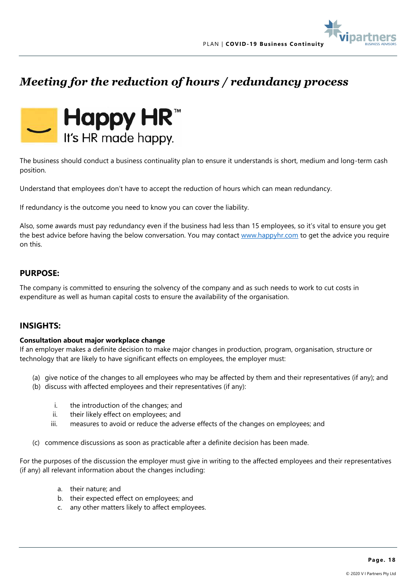## *Meeting for the reduction of hours / redundancy process*



The business should conduct a business continuality plan to ensure it understands is short, medium and long-term cash position.

Understand that employees don't have to accept the reduction of hours which can mean redundancy.

If redundancy is the outcome you need to know you can cover the liability.

Also, some awards must pay redundancy even if the business had less than 15 employees, so it's vital to ensure you get the best advice before having the below conversation. You may contact [www.happyhr.com](http://www.happyhr.com/) to get the advice you require on this.

#### **PURPOSE:**

The company is committed to ensuring the solvency of the company and as such needs to work to cut costs in expenditure as well as human capital costs to ensure the availability of the organisation.

#### **INSIGHTS:**

#### **Consultation about major workplace change**

If an employer makes a definite decision to make major changes in production, program, organisation, structure or technology that are likely to have significant effects on employees, the employer must:

- (a) give notice of the changes to all employees who may be affected by them and their representatives (if any); and
- (b) discuss with affected employees and their representatives (if any):
	- i. the introduction of the changes; and
	- ii. their likely effect on employees; and
	- iii. measures to avoid or reduce the adverse effects of the changes on employees; and
- (c) commence discussions as soon as practicable after a definite decision has been made.

For the purposes of the discussion the employer must give in writing to the affected employees and their representatives (if any) all relevant information about the changes including:

- a. their nature; and
- b. their expected effect on employees; and
- c. any other matters likely to affect employees.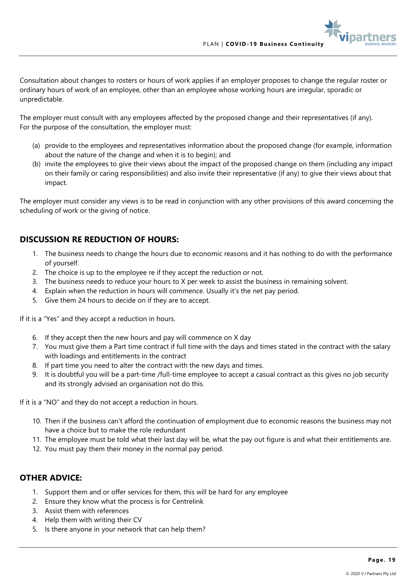Consultation about changes to rosters or hours of work applies if an employer proposes to change the regular roster or ordinary hours of work of an employee, other than an employee whose working hours are irregular, sporadic or unpredictable.

The employer must consult with any employees affected by the proposed change and their representatives (if any). For the purpose of the consultation, the employer must:

- (a) provide to the employees and representatives information about the proposed change (for example, information about the nature of the change and when it is to begin); and
- (b) invite the employees to give their views about the impact of the proposed change on them (including any impact on their family or caring responsibilities) and also invite their representative (if any) to give their views about that impact.

The employer must consider any views is to be read in conjunction with any other provisions of this award concerning the scheduling of work or the giving of notice.

#### **DISCUSSION RE REDUCTION OF HOURS:**

- 1. The business needs to change the hours due to economic reasons and it has nothing to do with the performance of yourself.
- 2. The choice is up to the employee re if they accept the reduction or not.
- 3. The business needs to reduce your hours to X per week to assist the business in remaining solvent.
- 4. Explain when the reduction in hours will commence. Usually it's the net pay period.
- 5. Give them 24 hours to decide on if they are to accept.

If it is a "Yes" and they accept a reduction in hours.

- 6. If they accept then the new hours and pay will commence on X day
- 7. You must give them a Part time contract if full time with the days and times stated in the contract with the salary with loadings and entitlements in the contract
- 8. If part time you need to alter the contract with the new days and times.
- 9. It is doubtful you will be a part-time /full-time employee to accept a casual contract as this gives no job security and its strongly advised an organisation not do this.

If it is a "NO" and they do not accept a reduction in hours.

- 10. Then if the business can't afford the continuation of employment due to economic reasons the business may not have a choice but to make the role redundant
- 11. The employee must be told what their last day will be, what the pay out figure is and what their entitlements are.
- 12. You must pay them their money in the normal pay period.

#### **OTHER ADVICE:**

- 1. Support them and or offer services for them, this will be hard for any employee
- 2. Ensure they know what the process is for Centrelink
- 3. Assist them with references
- 4. Help them with writing their CV
- 5. Is there anyone in your network that can help them?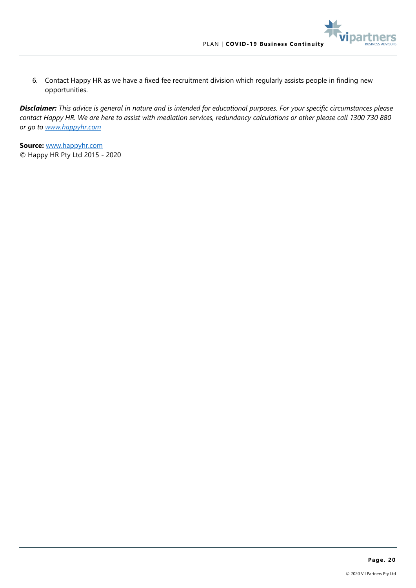part

6. Contact Happy HR as we have a fixed fee recruitment division which regularly assists people in finding new opportunities.

*Disclaimer: This advice is general in nature and is intended for educational purposes. For your specific circumstances please contact Happy HR. We are here to assist with mediation services, redundancy calculations or other please call 1300 730 880 or go to [www.happyhr.com](http://www.happyhr.com/)*

**Source:** [www.happyhr.com](http://www.happyhr.com/) © Happy HR Pty Ltd 2015 - 2020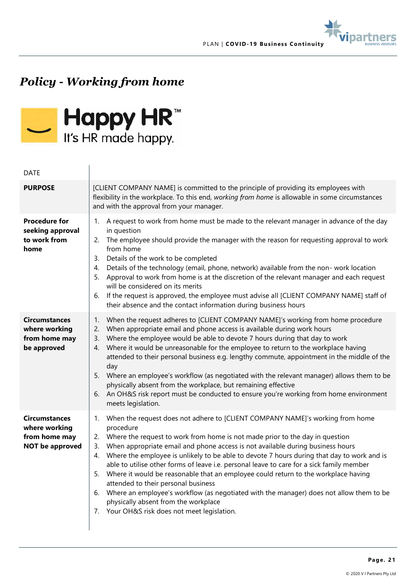



## *Policy - Working from home*



#### DATE

| <b>PURPOSE</b>                                                                   | [CLIENT COMPANY NAME] is committed to the principle of providing its employees with<br>flexibility in the workplace. To this end, working from home is allowable in some circumstances<br>and with the approval from your manager.                                                                                                                                                                                                                                                                                                                                                                                                                                                                                                                                                                    |
|----------------------------------------------------------------------------------|-------------------------------------------------------------------------------------------------------------------------------------------------------------------------------------------------------------------------------------------------------------------------------------------------------------------------------------------------------------------------------------------------------------------------------------------------------------------------------------------------------------------------------------------------------------------------------------------------------------------------------------------------------------------------------------------------------------------------------------------------------------------------------------------------------|
| <b>Procedure for</b><br>seeking approval<br>to work from<br>home                 | 1. A request to work from home must be made to the relevant manager in advance of the day<br>in question<br>The employee should provide the manager with the reason for requesting approval to work<br>2.<br>from home<br>Details of the work to be completed<br>3.<br>Details of the technology (email, phone, network) available from the non- work location<br>4.<br>Approval to work from home is at the discretion of the relevant manager and each request<br>5.<br>will be considered on its merits<br>If the request is approved, the employee must advise all [CLIENT COMPANY NAME] staff of<br>6.<br>their absence and the contact information during business hours                                                                                                                        |
| <b>Circumstances</b><br>where working<br>from home may<br>be approved            | When the request adheres to [CLIENT COMPANY NAME]'s working from home procedure<br>1.<br>When appropriate email and phone access is available during work hours<br>2.<br>Where the employee would be able to devote 7 hours during that day to work<br>3.<br>Where it would be unreasonable for the employee to return to the workplace having<br>4.<br>attended to their personal business e.g. lengthy commute, appointment in the middle of the<br>day<br>5. Where an employee's workflow (as negotiated with the relevant manager) allows them to be<br>physically absent from the workplace, but remaining effective<br>An OH&S risk report must be conducted to ensure you're working from home environment<br>6.<br>meets legislation.                                                         |
| <b>Circumstances</b><br>where working<br>from home may<br><b>NOT be approved</b> | When the request does not adhere to [CLIENT COMPANY NAME]'s working from home<br>1.<br>procedure<br>2. Where the request to work from home is not made prior to the day in question<br>When appropriate email and phone access is not available during business hours<br>3.<br>4. Where the employee is unlikely to be able to devote 7 hours during that day to work and is<br>able to utilise other forms of leave i.e. personal leave to care for a sick family member<br>Where it would be reasonable that an employee could return to the workplace having<br>5.<br>attended to their personal business<br>Where an employee's workflow (as negotiated with the manager) does not allow them to be<br>6.<br>physically absent from the workplace<br>7. Your OH&S risk does not meet legislation. |